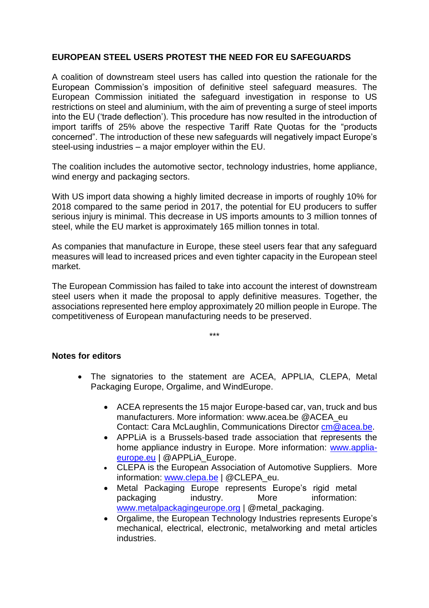## **EUROPEAN STEEL USERS PROTEST THE NEED FOR EU SAFEGUARDS**

A coalition of downstream steel users has called into question the rationale for the European Commission's imposition of definitive steel safeguard measures. The European Commission initiated the safeguard investigation in response to US restrictions on steel and aluminium, with the aim of preventing a surge of steel imports into the EU ('trade deflection'). This procedure has now resulted in the introduction of import tariffs of 25% above the respective Tariff Rate Quotas for the "products concerned". The introduction of these new safeguards will negatively impact Europe's steel-using industries – a major employer within the EU.

The coalition includes the automotive sector, technology industries, home appliance, wind energy and packaging sectors.

With US import data showing a highly limited decrease in imports of roughly 10% for 2018 compared to the same period in 2017, the potential for EU producers to suffer serious injury is minimal. This decrease in US imports amounts to 3 million tonnes of steel, while the EU market is approximately 165 million tonnes in total.

As companies that manufacture in Europe, these steel users fear that any safeguard measures will lead to increased prices and even tighter capacity in the European steel market.

The European Commission has failed to take into account the interest of downstream steel users when it made the proposal to apply definitive measures. Together, the associations represented here employ approximately 20 million people in Europe. The competitiveness of European manufacturing needs to be preserved.

\*\*\*

## **Notes for editors**

- The signatories to the statement are ACEA, APPLIA, CLEPA, Metal Packaging Europe, Orgalime, and WindEurope.
	- ACEA represents the 15 major Europe-based car, van, truck and bus manufacturers. More information: [www.acea.be](http://www.acea.be/) [@ACEA\\_eu](https://twitter.com/ACEA_eu) Contact: Cara McLaughlin, Communications Director [cm@acea.be.](file:///C:/Users/Pampamela/AppData/Roaming/Microsoft/Word/cm@acea.be)
	- APPLiA is a Brussels-based trade association that represents the home appliance industry in Europe. More information: [www.applia](http://www.applia-europe.eu/)[europe.eu](http://www.applia-europe.eu/) | @APPLiA\_Europe.
	- CLEPA is the European Association of Automotive Suppliers. More information: [www.clepa.be](file:///C:/Users/Pampamela/AppData/Roaming/Microsoft/Word/www.clepa.be) | @CLEPA\_eu.
	- Metal Packaging Europe represents Europe's rigid metal packaging industry. More information: [www.metalpackagingeurope.org](http://www.metalpackagingeurope.org/) | @metal\_packaging.
	- Orgalime, the European Technology Industries represents Europe's mechanical, electrical, electronic, metalworking and metal articles industries.